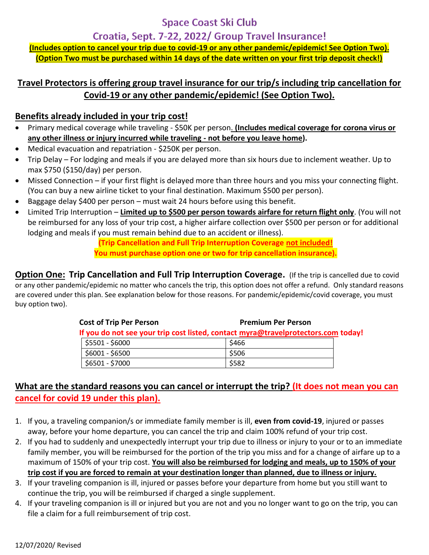### **Space Coast Ski Club**

Croatia, Sept. 7-22, 2022/ Group Travel Insurance!

**(Includes option to cancel your trip due to covid-19 or any other pandemic/epidemic! See Option Two). (Option Two must be purchased within 14 days of the date written on your first trip deposit check!)**

### **Travel Protectors is offering group travel insurance for our trip/s including trip cancellation for Covid-19 or any other pandemic/epidemic! (See Option Two).**

#### **Benefits already included in your trip cost!**

- Primary medical coverage while traveling \$50K per person. **(Includes medical coverage for corona virus or any other illness or injury incurred while traveling - not before you leave home).**
- Medical evacuation and repatriation \$250K per person.
- Trip Delay For lodging and meals if you are delayed more than six hours due to inclement weather. Up to max \$750 (\$150/day) per person.
- Missed Connection if your first flight is delayed more than three hours and you miss your connecting flight. (You can buy a new airline ticket to your final destination. Maximum \$500 per person).
- Baggage delay \$400 per person must wait 24 hours before using this benefit.
- Limited Trip Interruption **Limited up to \$500 per person towards airfare for return flight only**. (You will not be reimbursed for any loss of your trip cost, a higher airfare collection over \$500 per person or for additional lodging and meals if you must remain behind due to an accident or illness).

**(Trip Cancellation and Full Trip Interruption Coverage not included! You must purchase option one or two for trip cancellation insurance).** 

**Option One: Trip Cancellation and Full Trip Interruption Coverage. (If the trip is cancelled due to covid** or any other pandemic/epidemic no matter who cancels the trip, this option does not offer a refund. Only standard reasons are covered under this plan. See explanation below for those reasons. For pandemic/epidemic/covid coverage, you must buy option two).

| <b>Cost of Trip Per Person</b>                                                    |                               | <b>Premium Per Person</b> |  |
|-----------------------------------------------------------------------------------|-------------------------------|---------------------------|--|
| If you do not see your trip cost listed, contact myra@travelprotectors.com today! |                               |                           |  |
|                                                                                   | $\frac{1}{2}$ \$5501 - \$6000 | \$466                     |  |
|                                                                                   | \$6001 - \$6500               | \$506                     |  |
|                                                                                   | \$6501 - \$7000               | \$582                     |  |

### **What are the standard reasons you can cancel or interrupt the trip? (It does not mean you can cancel for covid 19 under this plan).**

- 1. If you, a traveling companion/s or immediate family member is ill, **even from covid-19**, injured or passes away, before your home departure, you can cancel the trip and claim 100% refund of your trip cost.
- 2. If you had to suddenly and unexpectedly interrupt your trip due to illness or injury to your or to an immediate family member, you will be reimbursed for the portion of the trip you miss and for a change of airfare up to a maximum of 150% of your trip cost. **You will also be reimbursed for lodging and meals, up to 150% of your trip cost if you are forced to remain at your destination longer than planned, due to illness or injury.**
- 3. If your traveling companion is ill, injured or passes before your departure from home but you still want to continue the trip, you will be reimbursed if charged a single supplement.
- 4. If your traveling companion is ill or injured but you are not and you no longer want to go on the trip, you can file a claim for a full reimbursement of trip cost.